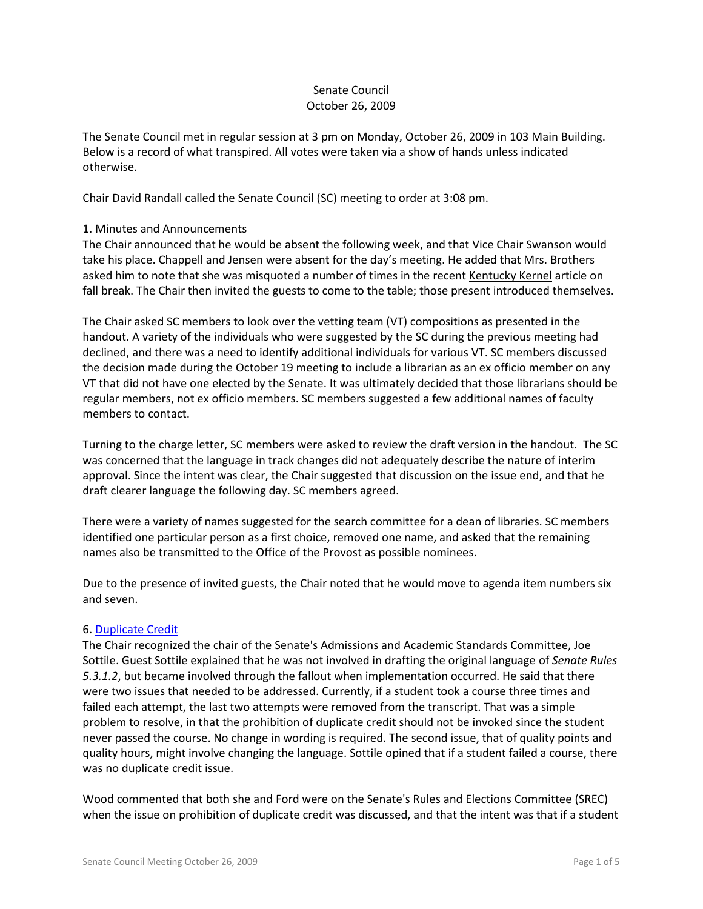# Senate Council October 26, 2009

The Senate Council met in regular session at 3 pm on Monday, October 26, 2009 in 103 Main Building. Below is a record of what transpired. All votes were taken via a show of hands unless indicated otherwise.

Chair David Randall called the Senate Council (SC) meeting to order at 3:08 pm.

## 1. Minutes and Announcements

The Chair announced that he would be absent the following week, and that Vice Chair Swanson would take his place. Chappell and Jensen were absent for the day's meeting. He added that Mrs. Brothers asked him to note that she was misquoted a number of times in the recent Kentucky Kernel article on fall break. The Chair then invited the guests to come to the table; those present introduced themselves.

The Chair asked SC members to look over the vetting team (VT) compositions as presented in the handout. A variety of the individuals who were suggested by the SC during the previous meeting had declined, and there was a need to identify additional individuals for various VT. SC members discussed the decision made during the October 19 meeting to include a librarian as an ex officio member on any VT that did not have one elected by the Senate. It was ultimately decided that those librarians should be regular members, not ex officio members. SC members suggested a few additional names of faculty members to contact.

Turning to the charge letter, SC members were asked to review the draft version in the handout. The SC was concerned that the language in track changes did not adequately describe the nature of interim approval. Since the intent was clear, the Chair suggested that discussion on the issue end, and that he draft clearer language the following day. SC members agreed.

There were a variety of names suggested for the search committee for a dean of libraries. SC members identified one particular person as a first choice, removed one name, and asked that the remaining names also be transmitted to the Office of the Provost as possible nominees.

Due to the presence of invited guests, the Chair noted that he would move to agenda item numbers six and seven.

## 6. [Duplicate Credit](http://www.uky.edu/Faculty/Senate/files/Meetings/20091026/Dupliate%20Credit_Complete.pdf)

The Chair recognized the chair of the Senate's Admissions and Academic Standards Committee, Joe Sottile. Guest Sottile explained that he was not involved in drafting the original language of *Senate Rules 5.3.1.2*, but became involved through the fallout when implementation occurred. He said that there were two issues that needed to be addressed. Currently, if a student took a course three times and failed each attempt, the last two attempts were removed from the transcript. That was a simple problem to resolve, in that the prohibition of duplicate credit should not be invoked since the student never passed the course. No change in wording is required. The second issue, that of quality points and quality hours, might involve changing the language. Sottile opined that if a student failed a course, there was no duplicate credit issue.

Wood commented that both she and Ford were on the Senate's Rules and Elections Committee (SREC) when the issue on prohibition of duplicate credit was discussed, and that the intent was that if a student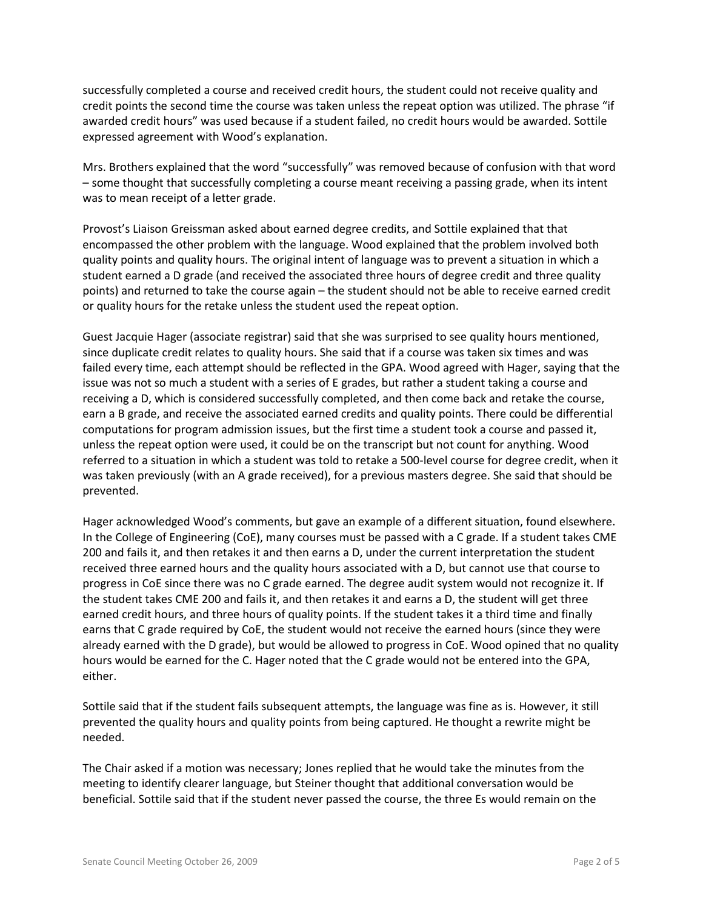successfully completed a course and received credit hours, the student could not receive quality and credit points the second time the course was taken unless the repeat option was utilized. The phrase "if awarded credit hours" was used because if a student failed, no credit hours would be awarded. Sottile expressed agreement with Wood's explanation.

Mrs. Brothers explained that the word "successfully" was removed because of confusion with that word – some thought that successfully completing a course meant receiving a passing grade, when its intent was to mean receipt of a letter grade.

Provost's Liaison Greissman asked about earned degree credits, and Sottile explained that that encompassed the other problem with the language. Wood explained that the problem involved both quality points and quality hours. The original intent of language was to prevent a situation in which a student earned a D grade (and received the associated three hours of degree credit and three quality points) and returned to take the course again – the student should not be able to receive earned credit or quality hours for the retake unless the student used the repeat option.

Guest Jacquie Hager (associate registrar) said that she was surprised to see quality hours mentioned, since duplicate credit relates to quality hours. She said that if a course was taken six times and was failed every time, each attempt should be reflected in the GPA. Wood agreed with Hager, saying that the issue was not so much a student with a series of E grades, but rather a student taking a course and receiving a D, which is considered successfully completed, and then come back and retake the course, earn a B grade, and receive the associated earned credits and quality points. There could be differential computations for program admission issues, but the first time a student took a course and passed it, unless the repeat option were used, it could be on the transcript but not count for anything. Wood referred to a situation in which a student was told to retake a 500-level course for degree credit, when it was taken previously (with an A grade received), for a previous masters degree. She said that should be prevented.

Hager acknowledged Wood's comments, but gave an example of a different situation, found elsewhere. In the College of Engineering (CoE), many courses must be passed with a C grade. If a student takes CME 200 and fails it, and then retakes it and then earns a D, under the current interpretation the student received three earned hours and the quality hours associated with a D, but cannot use that course to progress in CoE since there was no C grade earned. The degree audit system would not recognize it. If the student takes CME 200 and fails it, and then retakes it and earns a D, the student will get three earned credit hours, and three hours of quality points. If the student takes it a third time and finally earns that C grade required by CoE, the student would not receive the earned hours (since they were already earned with the D grade), but would be allowed to progress in CoE. Wood opined that no quality hours would be earned for the C. Hager noted that the C grade would not be entered into the GPA, either.

Sottile said that if the student fails subsequent attempts, the language was fine as is. However, it still prevented the quality hours and quality points from being captured. He thought a rewrite might be needed.

The Chair asked if a motion was necessary; Jones replied that he would take the minutes from the meeting to identify clearer language, but Steiner thought that additional conversation would be beneficial. Sottile said that if the student never passed the course, the three Es would remain on the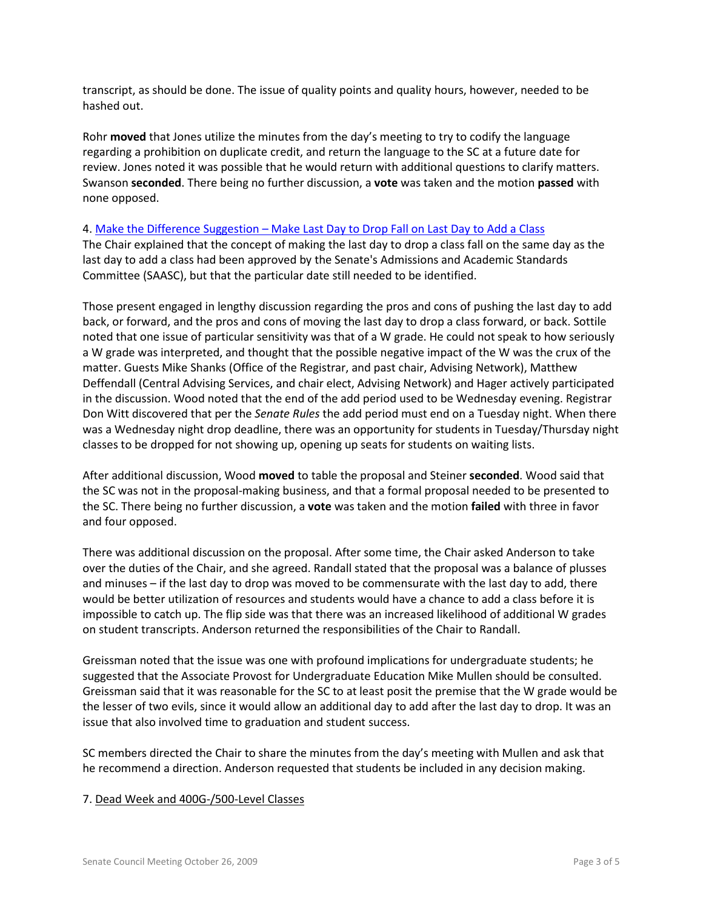transcript, as should be done. The issue of quality points and quality hours, however, needed to be hashed out.

Rohr **moved** that Jones utilize the minutes from the day's meeting to try to codify the language regarding a prohibition on duplicate credit, and return the language to the SC at a future date for review. Jones noted it was possible that he would return with additional questions to clarify matters. Swanson **seconded**. There being no further discussion, a **vote** was taken and the motion **passed** with none opposed.

#### 4. Make the Difference Suggestion – [Make Last Day to Drop Fall on Last Day to Add a Class](http://www.uky.edu/Faculty/Senate/files/Meetings/20091019/MTD%20Suggestion%20No.167_Complete_Comments.pdf)

The Chair explained that the concept of making the last day to drop a class fall on the same day as the last day to add a class had been approved by the Senate's Admissions and Academic Standards Committee (SAASC), but that the particular date still needed to be identified.

Those present engaged in lengthy discussion regarding the pros and cons of pushing the last day to add back, or forward, and the pros and cons of moving the last day to drop a class forward, or back. Sottile noted that one issue of particular sensitivity was that of a W grade. He could not speak to how seriously a W grade was interpreted, and thought that the possible negative impact of the W was the crux of the matter. Guests Mike Shanks (Office of the Registrar, and past chair, Advising Network), Matthew Deffendall (Central Advising Services, and chair elect, Advising Network) and Hager actively participated in the discussion. Wood noted that the end of the add period used to be Wednesday evening. Registrar Don Witt discovered that per the *Senate Rules* the add period must end on a Tuesday night. When there was a Wednesday night drop deadline, there was an opportunity for students in Tuesday/Thursday night classes to be dropped for not showing up, opening up seats for students on waiting lists.

After additional discussion, Wood **moved** to table the proposal and Steiner **seconded**. Wood said that the SC was not in the proposal-making business, and that a formal proposal needed to be presented to the SC. There being no further discussion, a **vote** was taken and the motion **failed** with three in favor and four opposed.

There was additional discussion on the proposal. After some time, the Chair asked Anderson to take over the duties of the Chair, and she agreed. Randall stated that the proposal was a balance of plusses and minuses – if the last day to drop was moved to be commensurate with the last day to add, there would be better utilization of resources and students would have a chance to add a class before it is impossible to catch up. The flip side was that there was an increased likelihood of additional W grades on student transcripts. Anderson returned the responsibilities of the Chair to Randall.

Greissman noted that the issue was one with profound implications for undergraduate students; he suggested that the Associate Provost for Undergraduate Education Mike Mullen should be consulted. Greissman said that it was reasonable for the SC to at least posit the premise that the W grade would be the lesser of two evils, since it would allow an additional day to add after the last day to drop. It was an issue that also involved time to graduation and student success.

SC members directed the Chair to share the minutes from the day's meeting with Mullen and ask that he recommend a direction. Anderson requested that students be included in any decision making.

## 7. Dead Week and 400G-/500-Level Classes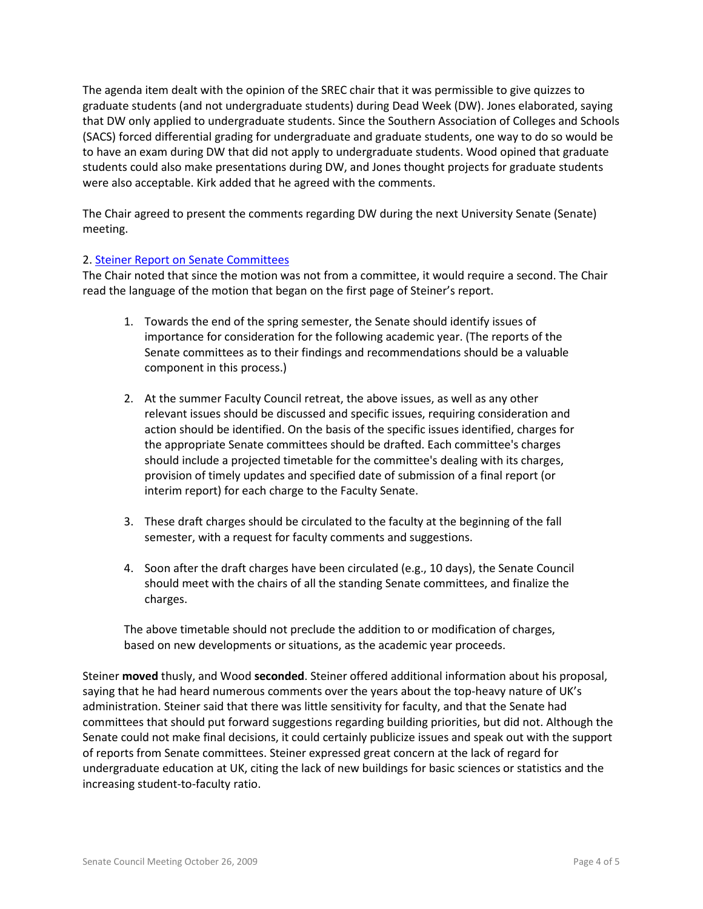The agenda item dealt with the opinion of the SREC chair that it was permissible to give quizzes to graduate students (and not undergraduate students) during Dead Week (DW). Jones elaborated, saying that DW only applied to undergraduate students. Since the Southern Association of Colleges and Schools (SACS) forced differential grading for undergraduate and graduate students, one way to do so would be to have an exam during DW that did not apply to undergraduate students. Wood opined that graduate students could also make presentations during DW, and Jones thought projects for graduate students were also acceptable. Kirk added that he agreed with the comments.

The Chair agreed to present the comments regarding DW during the next University Senate (Senate) meeting.

## 2. [Steiner Report on Senate Committees](http://www.uky.edu/Faculty/Senate/files/Meetings/20091005/Senate%20Council%20members-final%20version.pdf)

The Chair noted that since the motion was not from a committee, it would require a second. The Chair read the language of the motion that began on the first page of Steiner's report.

- 1. Towards the end of the spring semester, the Senate should identify issues of importance for consideration for the following academic year. (The reports of the Senate committees as to their findings and recommendations should be a valuable component in this process.)
- 2. At the summer Faculty Council retreat, the above issues, as well as any other relevant issues should be discussed and specific issues, requiring consideration and action should be identified. On the basis of the specific issues identified, charges for the appropriate Senate committees should be drafted. Each committee's charges should include a projected timetable for the committee's dealing with its charges, provision of timely updates and specified date of submission of a final report (or interim report) for each charge to the Faculty Senate.
- 3. These draft charges should be circulated to the faculty at the beginning of the fall semester, with a request for faculty comments and suggestions.
- 4. Soon after the draft charges have been circulated (e.g., 10 days), the Senate Council should meet with the chairs of all the standing Senate committees, and finalize the charges.

The above timetable should not preclude the addition to or modification of charges, based on new developments or situations, as the academic year proceeds.

Steiner **moved** thusly, and Wood **seconded**. Steiner offered additional information about his proposal, saying that he had heard numerous comments over the years about the top-heavy nature of UK's administration. Steiner said that there was little sensitivity for faculty, and that the Senate had committees that should put forward suggestions regarding building priorities, but did not. Although the Senate could not make final decisions, it could certainly publicize issues and speak out with the support of reports from Senate committees. Steiner expressed great concern at the lack of regard for undergraduate education at UK, citing the lack of new buildings for basic sciences or statistics and the increasing student-to-faculty ratio.